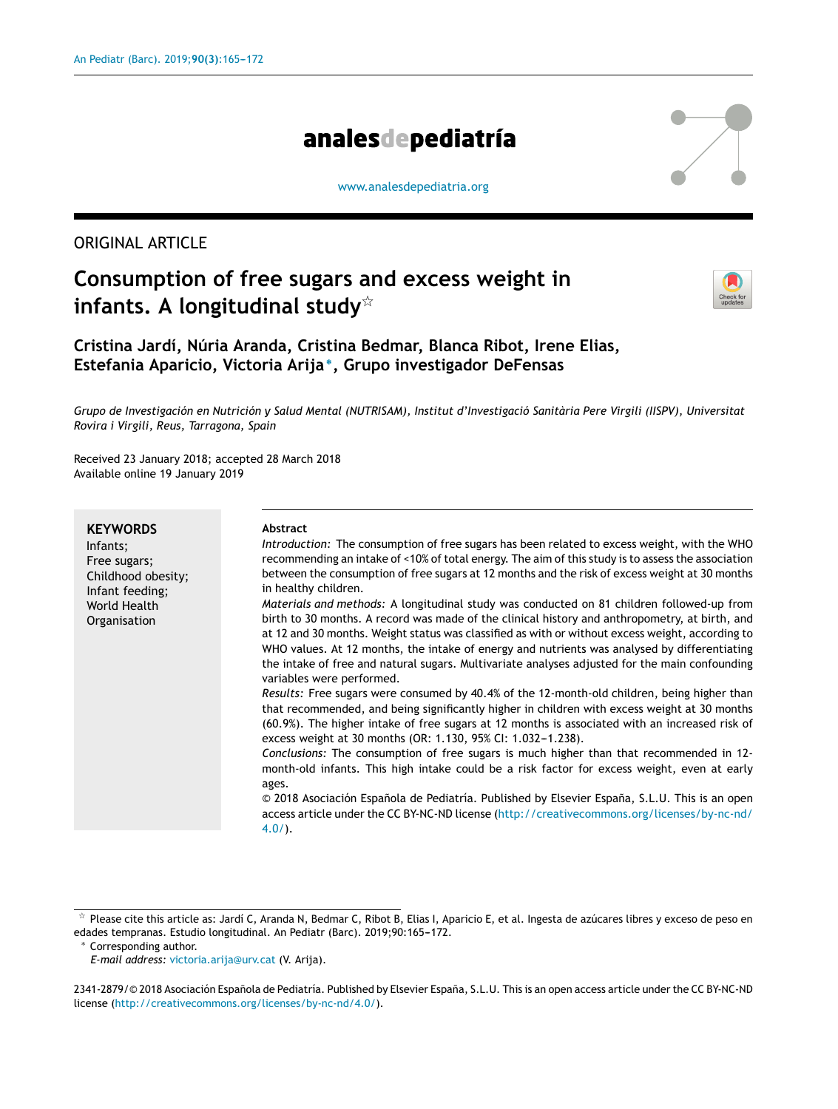# analesdepediatría

[www.analesdepediatria.org](http://www.analesdepediatria.org)

# ORIGINAL ARTICLE

# **Consumption of free sugars and excess weight in infants. A longitudinal study**-



**Cristina Jardí, Núria Aranda, Cristina Bedmar, Blanca Ribot, Irene Elias, Estefania Aparicio, Victoria Arija** <sup>∗</sup> **, Grupo investigador DeFensas**

Grupo de Investigación en Nutrición y Salud Mental (NUTRISAM), Institut d'Investigació Sanitària Pere Virgili (IISPV), Universitat *Rovira i Virgili, Reus, Tarragona, Spain*

Received 23 January 2018; accepted 28 March 2018 Available online 19 January 2019

| <b>KEYWORDS</b>                                                                                   | Abstract                                                                                                                                                                                                                                                                                                                                                                                                                                                                                                                                                                                                                                                                                                                                                                                                                                                                                                                                                                                                                                                                                                                                                                                                                                                                                                                                                                                                                                                                                                                                                                                                                                        |
|---------------------------------------------------------------------------------------------------|-------------------------------------------------------------------------------------------------------------------------------------------------------------------------------------------------------------------------------------------------------------------------------------------------------------------------------------------------------------------------------------------------------------------------------------------------------------------------------------------------------------------------------------------------------------------------------------------------------------------------------------------------------------------------------------------------------------------------------------------------------------------------------------------------------------------------------------------------------------------------------------------------------------------------------------------------------------------------------------------------------------------------------------------------------------------------------------------------------------------------------------------------------------------------------------------------------------------------------------------------------------------------------------------------------------------------------------------------------------------------------------------------------------------------------------------------------------------------------------------------------------------------------------------------------------------------------------------------------------------------------------------------|
| Infants;<br>Free sugars;<br>Childhood obesity;<br>Infant feeding;<br>World Health<br>Organisation | Introduction: The consumption of free sugars has been related to excess weight, with the WHO<br>recommending an intake of <10% of total energy. The aim of this study is to assess the association<br>between the consumption of free sugars at 12 months and the risk of excess weight at 30 months<br>in healthy children.<br>Materials and methods: A longitudinal study was conducted on 81 children followed-up from<br>birth to 30 months. A record was made of the clinical history and anthropometry, at birth, and<br>at 12 and 30 months. Weight status was classified as with or without excess weight, according to<br>WHO values. At 12 months, the intake of energy and nutrients was analysed by differentiating<br>the intake of free and natural sugars. Multivariate analyses adjusted for the main confounding<br>variables were performed.<br>Results: Free sugars were consumed by 40.4% of the 12-month-old children, being higher than<br>that recommended, and being significantly higher in children with excess weight at 30 months<br>(60.9%). The higher intake of free sugars at 12 months is associated with an increased risk of<br>excess weight at 30 months (OR: 1.130, 95% CI: 1.032-1.238).<br>Conclusions: The consumption of free sugars is much higher than that recommended in 12-<br>month-old infants. This high intake could be a risk factor for excess weight, even at early<br>ages.<br>© 2018 Asociación Española de Pediatría. Published by Elsevier España, S.L.U. This is an open<br>access article under the CC BY-NC-ND license (http://creativecommons.org/licenses/by-nc-nd/<br>$4.0/$ ). |
|                                                                                                   |                                                                                                                                                                                                                                                                                                                                                                                                                                                                                                                                                                                                                                                                                                                                                                                                                                                                                                                                                                                                                                                                                                                                                                                                                                                                                                                                                                                                                                                                                                                                                                                                                                                 |

<sup>∗</sup> Corresponding author.

*E-mail address:* [victoria.arija@urv.cat](mailto:victoria.arija@urv.cat) (V. Arija).

 $\frac{1}{24}$  Please cite this article as: Jardí C, Aranda N, Bedmar C, Ribot B, Elias I, Aparicio E, et al. Ingesta de azúcares libres y exceso de peso en edades tempranas. Estudio longitudinal. An Pediatr (Barc). 2019;90:165-172.

<sup>2341-2879/© 2018</sup> Asociación Española de Pediatría. Published by Elsevier España, S.L.U. This is an open access article under the CC BY-NC-ND license (<http://creativecommons.org/licenses/by-nc-nd/4.0/>).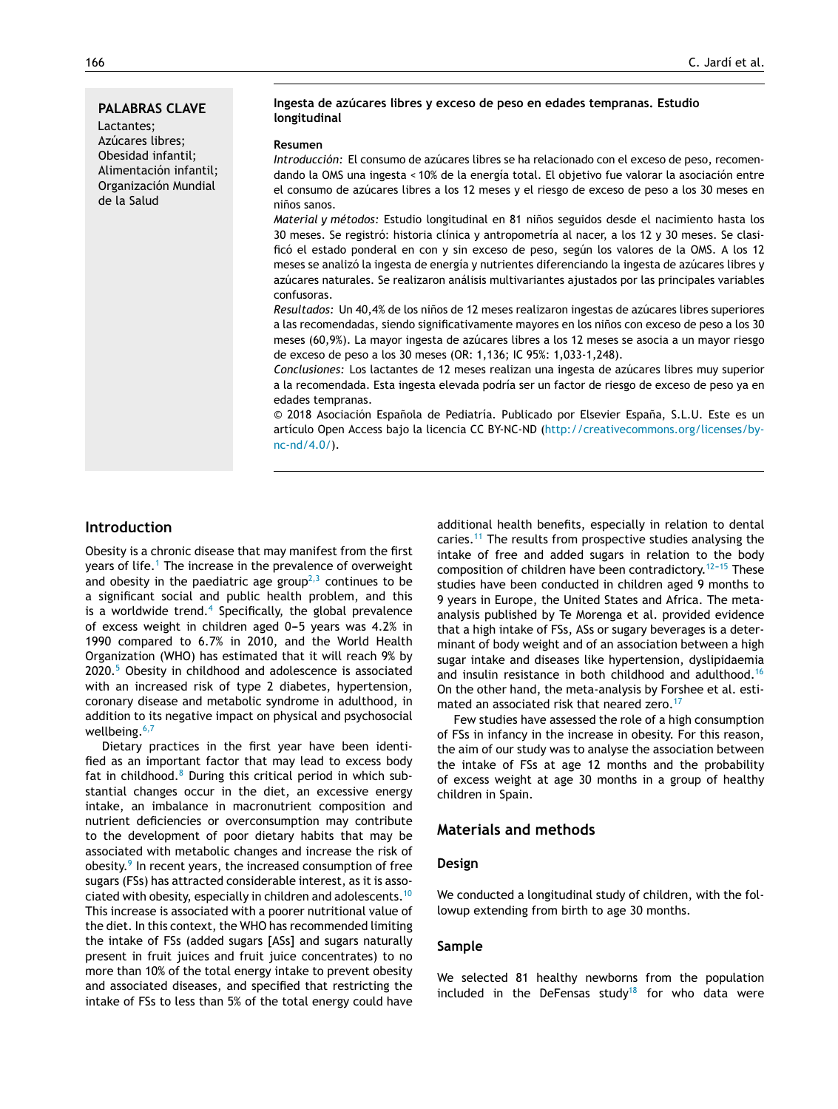# **PALABRAS CLAVE** Lactantes; Azúcares libres; Obesidad infantil; Alimentación infantil; Organización Mundial de la Salud

# **Ingesta de azúcares libres y exceso de peso en edades tempranas. Estudio longitudinal**

#### **Resumen**

*Introducción:* El consumo de azúcares libres se ha relacionado con el exceso de peso, recomendando la OMS una ingesta < 10% de la energía total. El objetivo fue valorar la asociación entre el consumo de azúcares libres a los 12 meses y el riesgo de exceso de peso a los 30 meses en niños sanos.

*Material y métodos:* Estudio longitudinal en 81 niños seguidos desde el nacimiento hasta los 30 meses. Se registró: historia clínica y antropometría al nacer, a los 12 y 30 meses. Se clasificó el estado ponderal en con y sin exceso de peso, según los valores de la OMS. A los 12 meses se analizó la ingesta de energía y nutrientes diferenciando la ingesta de azúcares libres y azúcares naturales. Se realizaron análisis multivariantes ajustados por las principales variables confusoras.

Resultados: Un 40,4% de los niños de 12 meses realizaron ingestas de azúcares libres superiores a las recomendadas, siendo significativamente mayores en los niños con exceso de peso a los 30 meses (60,9%). La mayor ingesta de azúcares libres a los 12 meses se asocia a un mayor riesgo de exceso de peso a los 30 meses (OR: 1,136; IC 95%: 1,033-1,248).

*Conclusiones:* Los lactantes de 12 meses realizan una ingesta de azúcares libres muy superior a la recomendada. Esta ingesta elevada podría ser un factor de riesgo de exceso de peso ya en edades tempranas.

 $© 2018 Asociación Española de Pediatría. Publicado por Elsevier España, S.L.U. Este es un$ artículo Open Access bajo la licencia CC BY-NC-ND ([http://creativecommons.org/licenses/by](http://creativecommons.org/licenses/by-nc-nd/4.0/)[nc-nd/4.0/\)](http://creativecommons.org/licenses/by-nc-nd/4.0/).

# **Introduction**

Obesity is a chronic disease that may manifest from the first years of life.<sup>1</sup> [T](#page-6-0)he increase in the prevalence of overweight and obesity in the paediatric age group<sup> $2,3$ </sup> continues to be a significant social and public health problem, and this is a worldwide trend.<sup>[4](#page-6-0)</sup> Specifically, the global prevalence of excess weight in children aged  $0-5$  years was 4.2% in 1990 compared to 6.7% in 2010, and the World Health Organization (WHO) has estimated that it will reach 9% by 2020.[5](#page-6-0) Obesity in childhood and adolescence is associated with an increased risk of type 2 diabetes, hypertension, coronary disease and metabolic syndrome in adulthood, in addition to its negative impact on physical and psychosocial wellbeing.<sup>[6,7](#page-6-0)</sup>

Dietary practices in the first year have been identified as an important factor that may lead to excess body fat in childhood.<sup>[8](#page-6-0)</sup> During this critical period in which substantial changes occur in the diet, an excessive energy intake, an imbalance in macronutrient composition and nutrient deficiencies or overconsumption may contribute to the development of poor dietary habits that may be associated with metabolic changes and increase the risk of obesity.<sup>9</sup> [In](#page-6-0) recent years, the increased consumption of free sugars (FSs) has attracted considerable interest, as it is associated with obesity, especially in children and adolescents.[10](#page-6-0) This increase is associated with a poorer nutritional value of the diet. In this context, the WHO has recommended limiting the intake of FSs (added sugars [ASs] and sugars naturally present in fruit juices and fruit juice concentrates) to no more than 10% of the total energy intake to prevent obesity and associated diseases, and specified that restricting the intake of FSs to less than 5% of the total energy could have

additional health benefits, especially in relation to dental caries.[11](#page-6-0) The results from prospective studies analysing the intake of free and added sugars in relation to the body composition of children have been contradictory.<sup>12-15</sup> These studies have been conducted in children aged 9 months to 9 years in Europe, the United States and Africa. The metaanalysis published by Te Morenga et al. provided evidence that a high intake of FSs, ASs or sugary beverages is a determinant of body weight and of an association between a high sugar intake and diseases like hypertension, dyslipidaemia and insulin resistance in both childhood and adulthood.[16](#page-6-0) On the other hand, the meta-analysis by Forshee et al. esti-mated an associated risk that neared zero.<sup>[17](#page-6-0)</sup>

Few studies have assessed the role of a high consumption of FSs in infancy in the increase in obesity. For this reason, the aim of our study was to analyse the association between the intake of FSs at age 12 months and the probability of excess weight at age 30 months in a group of healthy children in Spain.

# **Materials and methods**

## **Design**

We conducted a longitudinal study of children, with the followup extending from birth to age 30 months.

## **Sample**

We selected 81 healthy newborns from the population included in the DeFensas study $18$  for who data were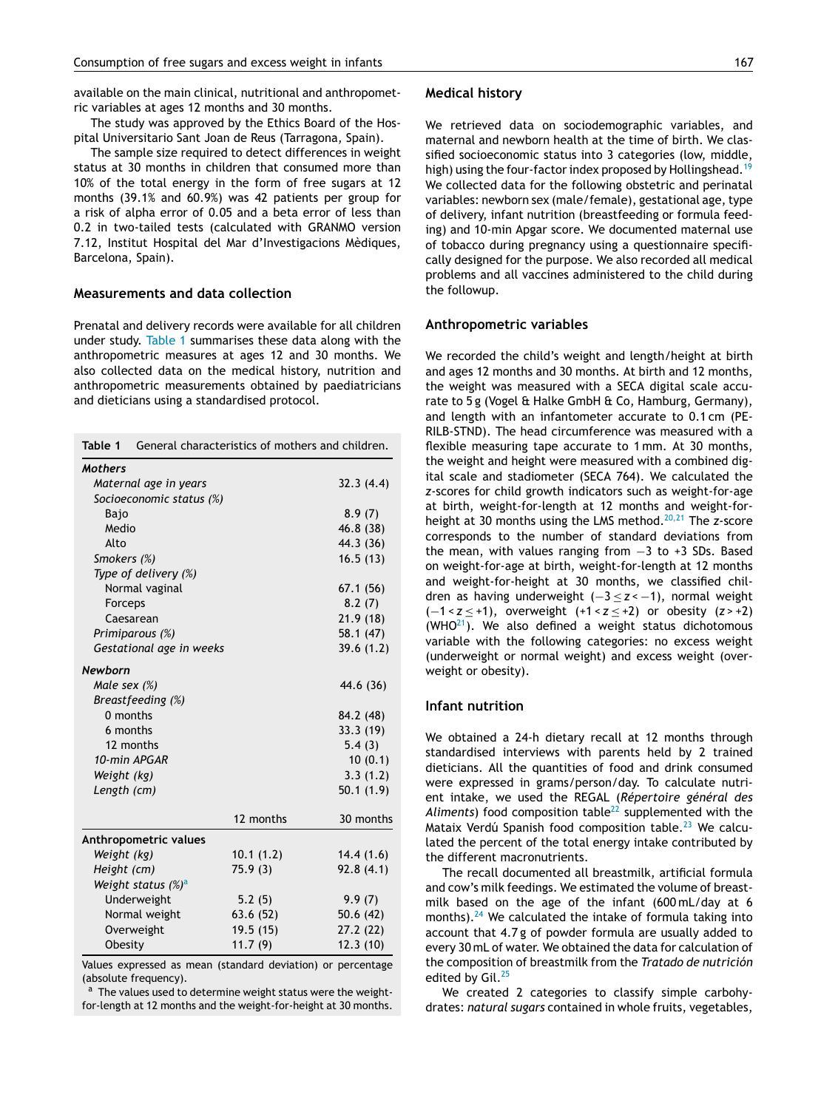<span id="page-2-0"></span>available on the main clinical, nutritional and anthropometric variables at ages 12 months and 30 months.

The study was approved by the Ethics Board of the Hospital Universitario Sant Joan de Reus (Tarragona, Spain).

The sample size required to detect differences in weight status at 30 months in children that consumed more than 10% of the total energy in the form of free sugars at 12 months (39.1% and 60.9%) was 42 patients per group for a risk of alpha error of 0.05 and a beta error of less than 0.2 in two-tailed tests (calculated with GRANMO version 7.12, Institut Hospital del Mar d'Investigacions Mèdiques, Barcelona, Spain).

## **Measurements and data collection**

Prenatal and delivery records were available for all children under study. Table 1 summarises these data along with the anthropometric measures at ages 12 and 30 months. We also collected data on the medical history, nutrition and anthropometric measurements obtained by paediatricians and dieticians using a standardised protocol.

| Table 1                        | General characteristics of mothers and children. |           |           |
|--------------------------------|--------------------------------------------------|-----------|-----------|
| <b>Mothers</b>                 |                                                  |           |           |
|                                | Maternal age in years                            |           | 32.3(4.4) |
|                                | Socioeconomic status (%)                         |           |           |
| Bajo                           |                                                  |           | 8.9(7)    |
| Medio                          |                                                  |           | 46.8 (38) |
| Alto                           |                                                  |           | 44.3 (36) |
| Smokers (%)                    |                                                  |           | 16.5(13)  |
|                                | Type of delivery (%)                             |           |           |
|                                | Normal vaginal                                   |           | 67.1(56)  |
| Forceps                        |                                                  |           | 8.2(7)    |
| Caesarean                      |                                                  |           | 21.9(18)  |
|                                | Primiparous (%)                                  |           | 58.1 (47) |
|                                | Gestational age in weeks                         |           | 39.6(1.2) |
| <b>Newborn</b>                 |                                                  |           |           |
| Male sex $(\%)$                |                                                  |           | 44.6 (36) |
|                                | Breastfeeding (%)                                |           |           |
| 0 months                       |                                                  |           | 84.2 (48) |
| 6 months                       |                                                  |           | 33.3 (19) |
| 12 months                      |                                                  |           | 5.4(3)    |
| 10-min APGAR                   |                                                  |           | 10(0.1)   |
| Weight (kg)                    |                                                  |           | 3.3(1.2)  |
| Length (cm)                    |                                                  |           | 50.1(1.9) |
|                                |                                                  | 12 months | 30 months |
|                                | Anthropometric values                            |           |           |
| Weight (kg)                    |                                                  | 10.1(1.2) | 14.4(1.6) |
| Height (cm)                    |                                                  | 75.9 (3)  | 92.8(4.1) |
| Weight status (%) <sup>a</sup> |                                                  |           |           |
| Underweight                    |                                                  | 5.2(5)    | 9.9(7)    |
|                                | Normal weight                                    | 63.6(52)  | 50.6(42)  |
|                                | Overweight                                       | 19.5 (15) | 27.2 (22) |
| Obesity                        |                                                  | 11.7(9)   | 12.3(10)  |

Values expressed as mean (standard deviation) or percentage (absolute frequency).

a The values used to determine weight status were the weightfor-length at 12 months and the weight-for-height at 30 months.

#### **Medical history**

We retrieved data on sociodemographic variables, and maternal and newborn health at the time of birth. We classified socioeconomic status into 3 categories (low, middle, high) using the four-factor index proposed by Hollingshead.<sup>[19](#page-6-0)</sup> We collected data for the following obstetric and perinatal variables: newborn sex (male/female), gestational age, type of delivery, infant nutrition (breastfeeding or formula feeding) and 10-min Apgar score. We documented maternal use of tobacco during pregnancy using a questionnaire specifically designed for the purpose. We also recorded all medical problems and all vaccines administered to the child during the followup.

## **Anthropometric variables**

We recorded the child's weight and length/height at birth and ages 12 months and 30 months. At birth and 12 months, the weight was measured with a SECA digital scale accurate to 5 g (Vogel & Halke GmbH & Co, Hamburg, Germany), and length with an infantometer accurate to 0.1 cm (PE-RILB-STND). The head circumference was measured with a flexible measuring tape accurate to 1 mm. At 30 months, the weight and height were measured with a combined digital scale and stadiometer (SECA 764). We calculated the *z*-scores for child growth indicators such as weight-for-age at birth, weight-for-length at 12 months and weight-forheight at 30 months using the LMS method.[20,21](#page-6-0) The *z*-score corresponds to the number of standard deviations from the mean, with values ranging from −3 to +3 SDs. Based on weight-for-age at birth, weight-for-length at 12 months and weight-for-height at 30 months, we classified children as having underweight (−3 ≤ *z* < −1), normal weight (−1 < *z* ≤ +1), overweight (+1 < *z* ≤ +2) or obesity (*z* > +2) (WHO $21$ ). We also defined a weight status dichotomous variable with the following categories: no excess weight (underweight or normal weight) and excess weight (overweight or obesity).

## **Infant nutrition**

We obtained a 24-h dietary recall at 12 months through standardised interviews with parents held by 2 trained dieticians. All the quantities of food and drink consumed were expressed in grams/person/day. To calculate nutrient intake, we used the REGAL (*Répertoire général des* Aliments) food composition table<sup>[22](#page-6-0)</sup> supplemented with the Mataix Verdú Spanish food composition table.<sup>[23](#page-6-0)</sup> We calculated the percent of the total energy intake contributed by the different macronutrients.

The recall documented all breastmilk, artificial formula and cow's milk feedings. We estimated the volume of breastmilk based on the age of the infant (600 mL/day at 6 months).<sup>[24](#page-6-0)</sup> We calculated the intake of formula taking into account that 4.7 g of powder formula are usually added to every 30 mL of water. We obtained the data for calculation of the composition of breastmilk from the *Tratado de nutrición* edited by Gil.<sup>[25](#page-6-0)</sup>

We created 2 categories to classify simple carbohydrates: *natural sugars* contained in whole fruits, vegetables,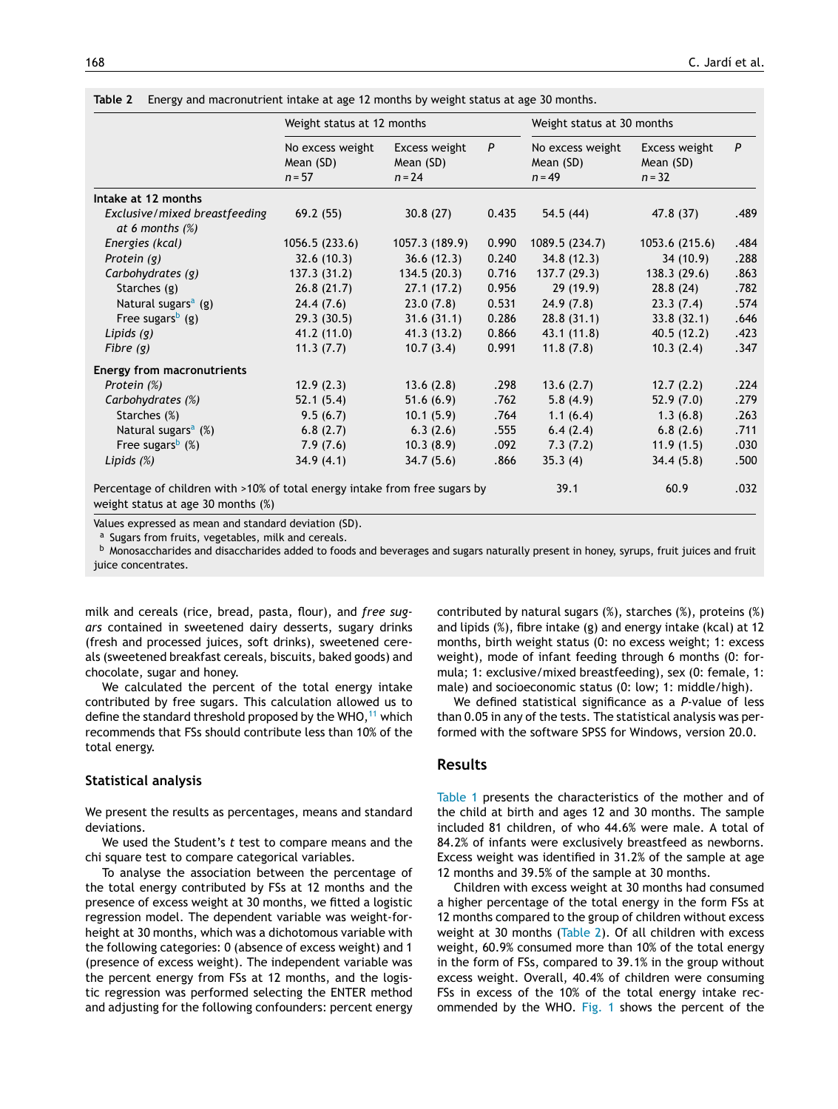| Table 2 |  |  | Energy and macronutrient intake at age 12 months by weight status at age 30 months. |
|---------|--|--|-------------------------------------------------------------------------------------|
|         |  |  |                                                                                     |

|                                                                                                                                                                                                                                                                                                                                                                                                                   | Weight status at 12 months                |                                        |       | Weight status at 30 months                |                                        |      |
|-------------------------------------------------------------------------------------------------------------------------------------------------------------------------------------------------------------------------------------------------------------------------------------------------------------------------------------------------------------------------------------------------------------------|-------------------------------------------|----------------------------------------|-------|-------------------------------------------|----------------------------------------|------|
|                                                                                                                                                                                                                                                                                                                                                                                                                   | No excess weight<br>Mean (SD)<br>$n = 57$ | Excess weight<br>Mean (SD)<br>$n = 24$ | P     | No excess weight<br>Mean (SD)<br>$n = 49$ | Excess weight<br>Mean (SD)<br>$n = 32$ | P    |
| Intake at 12 months                                                                                                                                                                                                                                                                                                                                                                                               |                                           |                                        |       |                                           |                                        |      |
| Exclusive/mixed breastfeeding<br>at 6 months $(\%)$                                                                                                                                                                                                                                                                                                                                                               | 69.2(55)                                  | 30.8(27)                               | 0.435 | 54.5(44)                                  | 47.8 (37)                              | .489 |
| Energies (kcal)                                                                                                                                                                                                                                                                                                                                                                                                   | 1056.5(233.6)                             | 1057.3 (189.9)                         | 0.990 | 1089.5 (234.7)                            | 1053.6 (215.6)                         | .484 |
| Protein (g)                                                                                                                                                                                                                                                                                                                                                                                                       | 32.6(10.3)                                | 36.6(12.3)                             | 0.240 | 34.8(12.3)                                | 34(10.9)                               | .288 |
| Carbohydrates (g)                                                                                                                                                                                                                                                                                                                                                                                                 | 137.3(31.2)                               | 134.5(20.3)                            | 0.716 | 137.7(29.3)                               | 138.3(29.6)                            | .863 |
| Starches (g)                                                                                                                                                                                                                                                                                                                                                                                                      | 26.8(21.7)                                | 27.1(17.2)                             | 0.956 | 29(19.9)                                  | 28.8(24)                               | .782 |
| Natural sugars <sup>a</sup> (g)                                                                                                                                                                                                                                                                                                                                                                                   | 24.4(7.6)                                 | 23.0(7.8)                              | 0.531 | 24.9(7.8)                                 | 23.3(7.4)                              | .574 |
| Free sugars <sup>b</sup> (g)                                                                                                                                                                                                                                                                                                                                                                                      | 29.3(30.5)                                | 31.6(31.1)                             | 0.286 | 28.8(31.1)                                | 33.8(32.1)                             | .646 |
| Lipids $(g)$                                                                                                                                                                                                                                                                                                                                                                                                      | 41.2(11.0)                                | 41.3(13.2)                             | 0.866 | 43.1(11.8)                                | 40.5(12.2)                             | .423 |
| Fibre $(g)$                                                                                                                                                                                                                                                                                                                                                                                                       | 11.3(7.7)                                 | 10.7(3.4)                              | 0.991 | 11.8(7.8)                                 | 10.3(2.4)                              | .347 |
| <b>Energy from macronutrients</b>                                                                                                                                                                                                                                                                                                                                                                                 |                                           |                                        |       |                                           |                                        |      |
| Protein (%)                                                                                                                                                                                                                                                                                                                                                                                                       | 12.9(2.3)                                 | 13.6(2.8)                              | .298  | 13.6(2.7)                                 | 12.7(2.2)                              | .224 |
| Carbohydrates (%)                                                                                                                                                                                                                                                                                                                                                                                                 | 52.1(5.4)                                 | 51.6(6.9)                              | .762  | 5.8(4.9)                                  | 52.9(7.0)                              | .279 |
| Starches (%)                                                                                                                                                                                                                                                                                                                                                                                                      | 9.5(6.7)                                  | 10.1(5.9)                              | .764  | 1.1(6.4)                                  | 1.3(6.8)                               | .263 |
| Natural sugars <sup>a</sup> (%)                                                                                                                                                                                                                                                                                                                                                                                   | 6.8(2.7)                                  | 6.3(2.6)                               | .555  | 6.4(2.4)                                  | 6.8(2.6)                               | .711 |
| Free sugars <sup>b</sup> $(\%)$                                                                                                                                                                                                                                                                                                                                                                                   | 7.9(7.6)                                  | 10.3(8.9)                              | .092  | 7.3(7.2)                                  | 11.9(1.5)                              | .030 |
| Lipids $(\%)$                                                                                                                                                                                                                                                                                                                                                                                                     | 34.9(4.1)                                 | 34.7(5.6)                              | .866  | 35.3(4)                                   | 34.4(5.8)                              | .500 |
| Percentage of children with >10% of total energy intake from free sugars by<br>$\mathbf{1}$ $\mathbf{1}$ $\mathbf{1}$ $\mathbf{1}$ $\mathbf{1}$ $\mathbf{1}$ $\mathbf{1}$ $\mathbf{1}$ $\mathbf{1}$ $\mathbf{1}$ $\mathbf{1}$ $\mathbf{1}$ $\mathbf{1}$ $\mathbf{1}$ $\mathbf{1}$ $\mathbf{1}$ $\mathbf{1}$ $\mathbf{1}$ $\mathbf{1}$ $\mathbf{1}$ $\mathbf{1}$ $\mathbf{1}$ $\mathbf{1}$ $\mathbf{1}$ $\mathbf{$ |                                           |                                        |       | 39.1                                      | 60.9                                   | .032 |

weight status at age 30 months (%)

Values expressed as mean and standard deviation (SD).

<sup>a</sup> Sugars from fruits, vegetables, milk and cereals.

b Monosaccharides and disaccharides added to foods and beverages and sugars naturally present in honey, syrups, fruit juices and fruit juice concentrates.

milk and cereals (rice, bread, pasta, flour), and *free sugars* contained in sweetened dairy desserts, sugary drinks (fresh and processed juices, soft drinks), sweetened cereals (sweetened breakfast cereals, biscuits, baked goods) and chocolate, sugar and honey.

We calculated the percent of the total energy intake contributed by free sugars. This calculation allowed us to define the standard threshold proposed by the WHO,  $11$  which recommends that FSs should contribute less than 10% of the total energy.

### **Statistical analysis**

We present the results as percentages, means and standard deviations.

We used the Student's *t* test to compare means and the chi square test to compare categorical variables.

To analyse the association between the percentage of the total energy contributed by FSs at 12 months and the presence of excess weight at 30 months, we fitted a logistic regression model. The dependent variable was weight-forheight at 30 months, which was a dichotomous variable with the following categories: 0 (absence of excess weight) and 1 (presence of excess weight). The independent variable was the percent energy from FSs at 12 months, and the logistic regression was performed selecting the ENTER method and adjusting for the following confounders: percent energy

contributed by natural sugars (%), starches (%), proteins (%) and lipids (%), fibre intake (g) and energy intake (kcal) at 12 months, birth weight status (0: no excess weight; 1: excess weight), mode of infant feeding through 6 months (0: formula; 1: exclusive/mixed breastfeeding), sex (0: female, 1: male) and socioeconomic status (0: low; 1: middle/high).

We defined statistical significance as a *P*-value of less than 0.05 in any of the tests. The statistical analysis was performed with the software SPSS for Windows, version 20.0.

# **Results**

[Table](#page-2-0) 1 presents the characteristics of the mother and of the child at birth and ages 12 and 30 months. The sample included 81 children, of who 44.6% were male. A total of 84.2% of infants were exclusively breastfeed as newborns. Excess weight was identified in 31.2% of the sample at age 12 months and 39.5% of the sample at 30 months.

Children with excess weight at 30 months had consumed a higher percentage of the total energy in the form FSs at 12 months compared to the group of children without excess weight at 30 months (Table 2). Of all children with excess weight, 60.9% consumed more than 10% of the total energy in the form of FSs, compared to 39.1% in the group without excess weight. Overall, 40.4% of children were consuming FSs in excess of the 10% of the total energy intake recommended by the WHO. [Fig.](#page-4-0) 1 shows the percent of the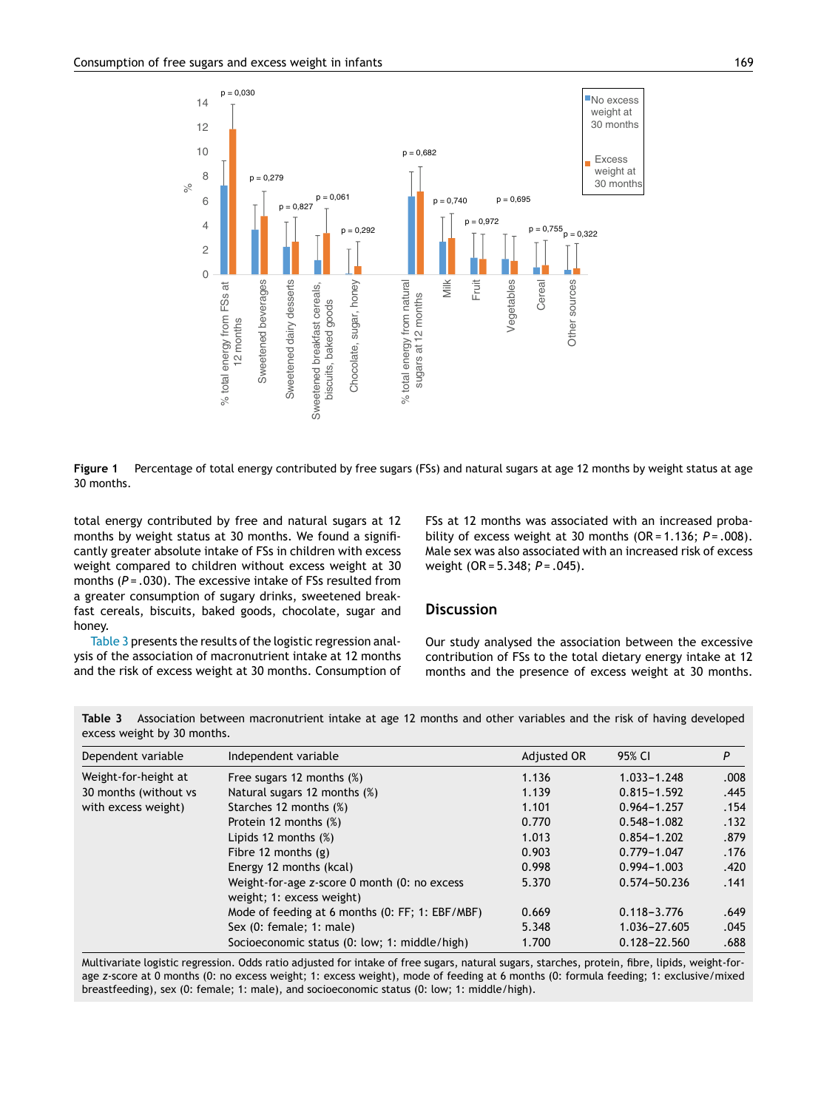<span id="page-4-0"></span>

**Figure 1** Percentage of total energy contributed by free sugars (FSs) and natural sugars at age 12 months by weight status at age 30 months.

total energy contributed by free and natural sugars at 12 months by weight status at 30 months. We found a significantly greater absolute intake of FSs in children with excess weight compared to children without excess weight at 30 months (P = .030). The excessive intake of FSs resulted from a greater consumption of sugary drinks, sweetened breakfast cereals, biscuits, baked goods, chocolate, sugar and honey.

Table 3 presents the results of the logistic regression analysis of the association of macronutrient intake at 12 months and the risk of excess weight at 30 months. Consumption of FSs at 12 months was associated with an increased probability of excess weight at 30 months (OR = 1.136; *P* = *.*008). Male sex was also associated with an increased risk of excess weight (OR = 5.348; *P* = *.*045).

# **Discussion**

Our study analysed the association between the excessive contribution of FSs to the total dietary energy intake at 12 months and the presence of excess weight at 30 months.

**Table 3** Association between macronutrient intake at age 12 months and other variables and the risk of having developed excess weight by 30 months.

| Dependent variable    | Independent variable                                                      | Adjusted OR | 95% CI           | P    |  |
|-----------------------|---------------------------------------------------------------------------|-------------|------------------|------|--|
| Weight-for-height at  | Free sugars 12 months (%)                                                 |             | $1.033 - 1.248$  | .008 |  |
| 30 months (without vs | Natural sugars 12 months (%)                                              | 1.139       | $0.815 - 1.592$  | .445 |  |
| with excess weight)   | Starches 12 months (%)                                                    | 1.101       | $0.964 - 1.257$  | .154 |  |
|                       | Protein 12 months (%)                                                     | 0.770       | $0.548 - 1.082$  | .132 |  |
|                       | Lipids 12 months $(\%)$                                                   | 1.013       | $0.854 - 1.202$  | .879 |  |
|                       | Fibre 12 months $(g)$                                                     | 0.903       | $0.779 - 1.047$  | .176 |  |
|                       | Energy 12 months (kcal)                                                   | 0.998       | $0.994 - 1.003$  | .420 |  |
|                       | Weight-for-age z-score 0 month (0: no excess<br>weight; 1: excess weight) | 5.370       | 0.574-50.236     | .141 |  |
|                       | Mode of feeding at 6 months (0: FF; 1: EBF/MBF)                           | 0.669       | $0.118 - 3.776$  | .649 |  |
|                       | Sex (0: female; 1: male)                                                  | 5.348       | 1.036-27.605     | .045 |  |
|                       | Socioeconomic status (0: low; 1: middle/high)                             | 1.700       | $0.128 - 22.560$ | .688 |  |

Multivariate logistic regression. Odds ratio adjusted for intake of free sugars, natural sugars, starches, protein, fibre, lipids, weight-forage *z*-score at 0 months (0: no excess weight; 1: excess weight), mode of feeding at 6 months (0: formula feeding; 1: exclusive/mixed breastfeeding), sex (0: female; 1: male), and socioeconomic status (0: low; 1: middle/high).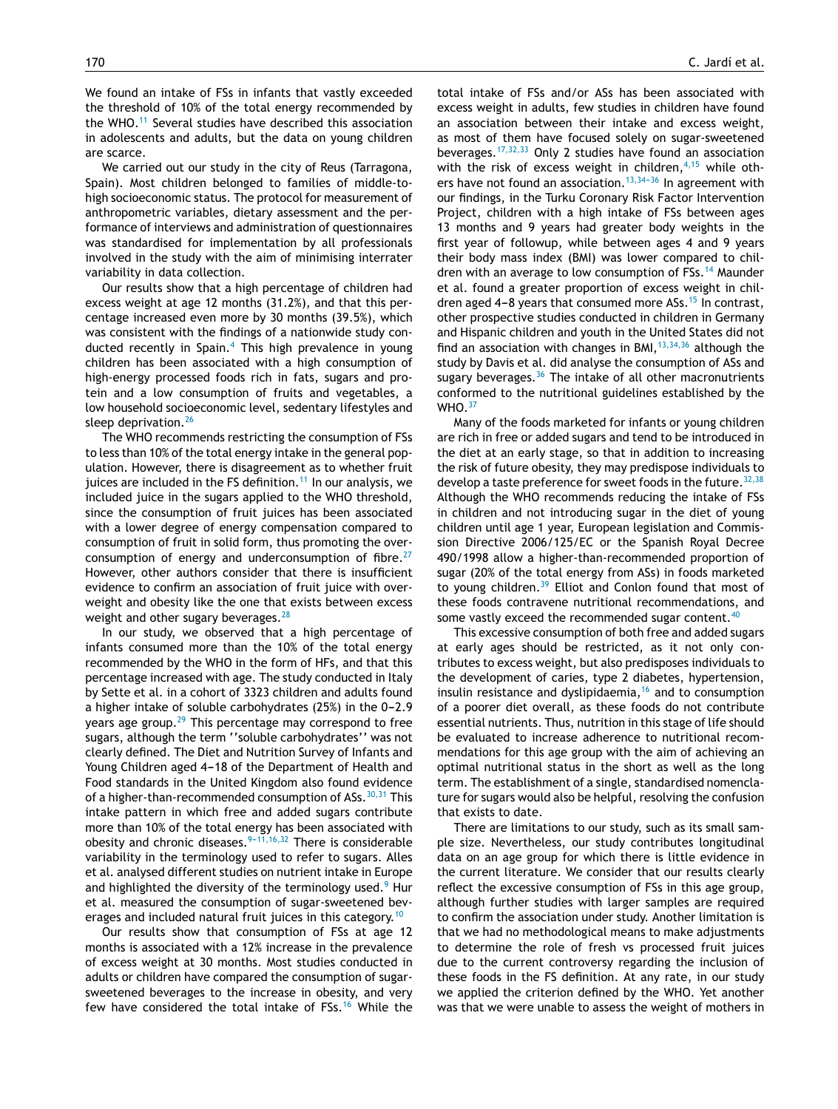We found an intake of FSs in infants that vastly exceeded the threshold of 10% of the total energy recommended by the WHO.[11](#page-6-0) Several studies have described this association in adolescents and adults, but the data on young children are scarce.

We carried out our study in the city of Reus (Tarragona, Spain). Most children belonged to families of middle-tohigh socioeconomic status. The protocol for measurement of anthropometric variables, dietary assessment and the performance of interviews and administration of questionnaires was standardised for implementation by all professionals involved in the study with the aim of minimising interrater variability in data collection.

Our results show that a high percentage of children had excess weight at age 12 months (31.2%), and that this percentage increased even more by 30 months (39.5%), which was consistent with the findings of a nationwide study con-ducted recently in Spain.<sup>[4](#page-6-0)</sup> This high prevalence in young children has been associated with a high consumption of high-energy processed foods rich in fats, sugars and protein and a low consumption of fruits and vegetables, a low household socioeconomic level, sedentary lifestyles and sleep deprivation.<sup>[26](#page-6-0)</sup>

The WHO recommends restricting the consumption of FSs to less than 10% of the total energy intake in the general population. However, there is disagreement as to whether fruit juices are included in the FS definition.<sup>[11](#page-6-0)</sup> In our analysis, we included juice in the sugars applied to the WHO threshold, since the consumption of fruit juices has been associated with a lower degree of energy compensation compared to consumption of fruit in solid form, thus promoting the overconsumption of energy and underconsumption of fibre. $27$ However, other authors consider that there is insufficient evidence to confirm an association of fruit juice with overweight and obesity like the one that exists between excess weight and other sugary beverages.<sup>[28](#page-7-0)</sup>

In our study, we observed that a high percentage of infants consumed more than the 10% of the total energy recommended by the WHO in the form of HFs, and that this percentage increased with age. The study conducted in Italy by Sette et al. in a cohort of 3323 children and adults found a higher intake of soluble carbohydrates (25%) in the 0-2.9 years age group. $29$  This percentage may correspond to free sugars, although the term ''soluble carbohydrates'' was not clearly defined. The Diet and Nutrition Survey of Infants and Young Children aged 4-18 of the Department of Health and Food standards in the United Kingdom also found evidence of a higher-than-recommended consumption of ASs.<sup>[30,31](#page-7-0)</sup> This intake pattern in which free and added sugars contribute more than 10% of the total energy has been associated with obesity and chronic diseases.  $9-11,16,32$  There is considerable variability in the terminology used to refer to sugars. Alles et al. analysed different studies on nutrient intake in Europe and highlighted the diversity of the terminology used.<sup>[9](#page-6-0)</sup> Hur et al. measured the consumption of sugar-sweetened bev-erages and included natural fruit juices in this category.<sup>[10](#page-6-0)</sup>

Our results show that consumption of FSs at age 12 months is associated with a 12% increase in the prevalence of excess weight at 30 months. Most studies conducted in adults or children have compared the consumption of sugarsweetened beverages to the increase in obesity, and very few have considered the total intake of FSs.[16](#page-6-0) While the

total intake of FSs and/or ASs has been associated with excess weight in adults, few studies in children have found an association between their intake and excess weight, as most of them have focused solely on sugar-sweetened beverages. $17,32,33$  Only 2 studies have found an association with the risk of excess weight in children, $4,15$  while others have not found an association.<sup>13,34-36</sup> In agreement with our findings, in the Turku Coronary Risk Factor Intervention Project, children with a high intake of FSs between ages 13 months and 9 years had greater body weights in the first year of followup, while between ages 4 and 9 years their body mass index (BMI) was lower compared to chil-dren with an average to low consumption of FSs.<sup>[14](#page-6-0)</sup> Maunder et al. found a greater proportion of excess weight in chil-dren aged 4-8 years that consumed more ASs.<sup>[15](#page-6-0)</sup> In contrast, other prospective studies conducted in children in Germany and Hispanic children and youth in the United States did not find an association with changes in BMI,  $13,34,36$  although the study by Davis et al. did analyse the consumption of ASs and sugary beverages. $36$  The intake of all other macronutrients conformed to the nutritional guidelines established by the WHO. [37](#page-7-0)

Many of the foods marketed for infants or young children are rich in free or added sugars and tend to be introduced in the diet at an early stage, so that in addition to increasing the risk of future obesity, they may predispose individuals to develop a taste preference for sweet foods in the future.  $32,38$ Although the WHO recommends reducing the intake of FSs in children and not introducing sugar in the diet of young children until age 1 year, European legislation and Commission Directive 2006/125/EC or the Spanish Royal Decree 490/1998 allow a higher-than-recommended proportion of sugar (20% of the total energy from ASs) in foods marketed to young children. $39$  Elliot and Conlon found that most of these foods contravene nutritional recommendations, and some vastly exceed the recommended sugar content.<sup>4</sup>

This excessive consumption of both free and added sugars at early ages should be restricted, as it not only contributes to excess weight, but also predisposes individuals to the development of caries, type 2 diabetes, hypertension, insulin resistance and dyslipidaemia, $16$  and to consumption of a poorer diet overall, as these foods do not contribute essential nutrients. Thus, nutrition in this stage of life should be evaluated to increase adherence to nutritional recommendations for this age group with the aim of achieving an optimal nutritional status in the short as well as the long term. The establishment of a single, standardised nomenclature for sugars would also be helpful, resolving the confusion that exists to date.

There are limitations to our study, such as its small sample size. Nevertheless, our study contributes longitudinal data on an age group for which there is little evidence in the current literature. We consider that our results clearly reflect the excessive consumption of FSs in this age group, although further studies with larger samples are required to confirm the association under study. Another limitation is that we had no methodological means to make adjustments to determine the role of fresh vs processed fruit juices due to the current controversy regarding the inclusion of these foods in the FS definition. At any rate, in our study we applied the criterion defined by the WHO. Yet another was that we were unable to assess the weight of mothers in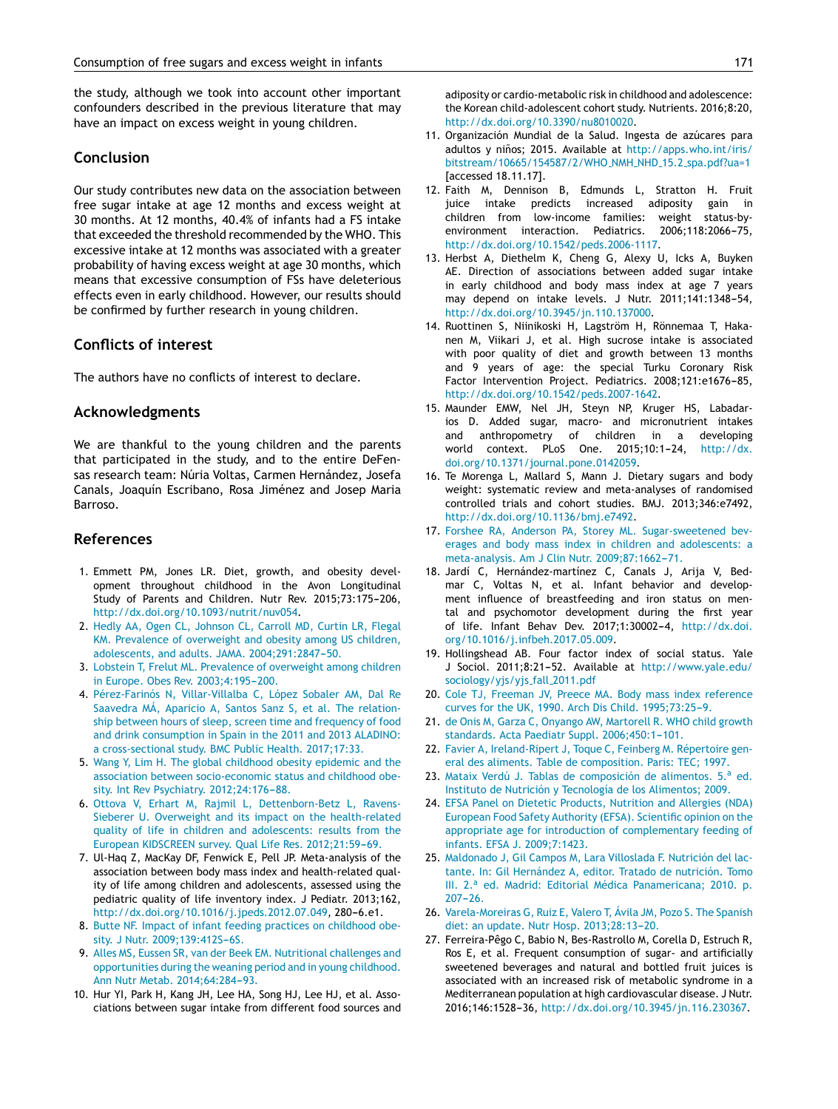<span id="page-6-0"></span>the study, although we took into account other important confounders described in the previous literature that may have an impact on excess weight in young children.

# **Conclusion**

Our study contributes new data on the association between free sugar intake at age 12 months and excess weight at 30 months. At 12 months, 40.4% of infants had a FS intake that exceeded the threshold recommended by the WHO. This excessive intake at 12 months was associated with a greater probability of having excess weight at age 30 months, which means that excessive consumption of FSs have deleterious effects even in early childhood. However, our results should be confirmed by further research in young children.

# **Conflicts of interest**

The authors have no conflicts of interest to declare.

# **Acknowledgments**

We are thankful to the young children and the parents that participated in the study, and to the entire DeFensas research team: Núria Voltas, Carmen Hernández, Josefa Canals, Joaquín Escribano, Rosa Jiménez and Josep Maria Barroso.

# **References**

- 1. Emmett PM, Jones LR. Diet, growth, and obesity development throughout childhood in the Avon Longitudinal Study of Parents and Children. Nutr Rev. 2015;73:175-206, [http://dx.doi.org/10.1093/nutrit/nuv054.](dx.doi.org/10.1093/nutrit/nuv054)
- 2. Hedly AA, Ogen CL, Johnson CL, Carroll MD, Curtin LR, Flegal KM. Prevalence of overweight and obesity among US children, adolescents, and adults. JAMA. 2004;291:2847-50.
- 3. Lobstein T, Frelut ML. Prevalence of overweight among children in Europe. Obes Rev. 2003;4:195-200.
- 4. Pérez-Farinós N, Villar-Villalba C, López Sobaler AM, Dal Re Saavedra MÁ, Aparicio A, Santos Sanz S, et al. The relationship between hours of sleep, screen time and frequency of food and drink consumption in Spain in the 2011 and 2013 ALADINO: a cross-sectional study. BMC Public Health. 2017;17:33.
- 5. Wang Y, Lim H. The global childhood obesity epidemic and the association between socio-economic status and childhood obesity. Int Rev Psychiatry. 2012;24:176-88.
- 6. Ottova V, Erhart M, Rajmil L, Dettenborn-Betz L, Ravens-Sieberer U. Overweight and its impact on the health-related quality of life in children and adolescents: results from the European KIDSCREEN survey. Qual Life Res. 2012;21:59-69.
- 7. Ul-Haq Z, MacKay DF, Fenwick E, Pell JP. Meta-analysis of the association between body mass index and health-related quality of life among children and adolescents, assessed using the pediatric quality of life inventory index. J Pediatr. 2013;162, [http://dx.doi.org/10.1016/j.jpeds.2012.07.049,](dx.doi.org/10.1016/j.jpeds.2012.07.049) 280-6.e1.
- 8. Butte NF. Impact of infant feeding practices on childhood obesity. J Nutr. 2009;139:412S-6S.
- 9. Alles MS, Eussen SR, van der Beek EM. Nutritional challenges and opportunities during the weaning period and in young childhood. Ann Nutr Metab. 2014;64:284-93.
- 10. Hur YI, Park H, Kang JH, Lee HA, Song HJ, Lee HJ, et al. Associations between sugar intake from different food sources and

adiposity or cardio-metabolic risk in childhood and adolescence: the Korean child-adolescent cohort study. Nutrients. 2016;8:20, [http://dx.doi.org/10.3390/nu8010020](dx.doi.org/10.3390/nu8010020).

- 11. Organización Mundial de la Salud. Ingesta de azúcares para adultos y niños; 2015. Available at [http://apps.who.int/iris/](http://apps.who.int/iris/bitstream/10665/154587/2/WHO_NMH_NHD_15.2_spa.pdf?ua=1) [bitstream/10665/154587/2/WHO](http://apps.who.int/iris/bitstream/10665/154587/2/WHO_NMH_NHD_15.2_spa.pdf?ua=1)\_NMH\_NHD\_15.2\_spa.pdf?ua=1 [accessed 18.11.17].
- 12. Faith M, Dennison B, Edmunds L, Stratton H. Fruit juice intake predicts increased adiposity gain in children from low-income families: weight status-byenvironment interaction. Pediatrics. 2006;118:2066-75, [http://dx.doi.org/10.1542/peds.2006-1117.](dx.doi.org/10.1542/peds.2006-1117)
- 13. Herbst A, Diethelm K, Cheng G, Alexy U, Icks A, Buyken AE. Direction of associations between added sugar intake in early childhood and body mass index at age 7 years may depend on intake levels. J Nutr. 2011;141:1348-54, [http://dx.doi.org/10.3945/jn.110.137000.](dx.doi.org/10.3945/jn.110.137000)
- 14. Ruottinen S, Niinikoski H, Lagström H, Rönnemaa T, Hakanen M, Viikari J, et al. High sucrose intake is associated with poor quality of diet and growth between 13 months and 9 years of age: the special Turku Coronary Risk Factor Intervention Project. Pediatrics. 2008;121:e1676-85, [http://dx.doi.org/10.1542/peds.2007-1642.](dx.doi.org/10.1542/peds.2007-1642)
- 15. Maunder EMW, Nel JH, Steyn NP, Kruger HS, Labadarios D. Added sugar, macro- and micronutrient intakes and anthropometry of children in a developing world context. PLoS One. 2015;10:1-24, [http://dx.](dx.doi.org/10.1371/journal.pone.0142059) [doi.org/10.1371/journal.pone.0142059.](dx.doi.org/10.1371/journal.pone.0142059)
- 16. Te Morenga L, Mallard S, Mann J. Dietary sugars and body weight: systematic review and meta-analyses of randomised controlled trials and cohort studies. BMJ. 2013;346:e7492, [http://dx.doi.org/10.1136/bmj.e7492](dx.doi.org/10.1136/bmj.e7492).
- 17. Forshee RA, Anderson PA, Storey ML. Sugar-sweetened beverages and body mass index in children and adolescents: a meta-analysis. Am J Clin Nutr. 2009;87:1662-71.
- 18. Jardí C, Hernández-martínez C, Canals J, Arija V, Bedmar C, Voltas N, et al. Infant behavior and development influence of breastfeeding and iron status on mental and psychomotor development during the first year of life. Infant Behav Dev. 2017;1:30002-4, [http://dx.doi.](dx.doi.org/10.1016/j.infbeh.2017.05.009) [org/10.1016/j.infbeh.2017.05.009.](dx.doi.org/10.1016/j.infbeh.2017.05.009)
- 19. Hollingshead AB. Four factor index of social status. Yale J Sociol. 2011;8:21-52. Available at [http://www.yale.edu/](http://www.yale.edu/sociology/yjs/yjs_fall_2011.pdf) [sociology/yjs/yjs](http://www.yale.edu/sociology/yjs/yjs_fall_2011.pdf) fall 2011.pdf
- 20. Cole TJ, Freeman JV, Preece MA. Body mass index reference curves for the UK, 1990. Arch Dis Child. 1995;73:25-9.
- 21. de Onis M, Garza C, Onyango AW, Martorell R. WHO child growth standards. Acta Paediatr Suppl. 2006;450:1-101.
- 22. Favier A, Ireland-Ripert J, Toque C, Feinberg M. Répertoire general des aliments. Table de composition. Paris: TEC; 1997.
- 23. Mataix Verdú J. Tablas de composición de alimentos. 5.ª ed. Instituto de Nutrición y Tecnología de los Alimentos; 2009.
- 24. EFSA Panel on Dietetic Products, Nutrition and Allergies (NDA) European Food Safety Authority (EFSA). Scientific opinion on the appropriate age for introduction of complementary feeding of infants. EFSA J. 2009;7:1423.
- 25. Maldonado J, Gil Campos M, Lara Villoslada F. Nutrición del lactante. In: Gil Hernández A, editor. Tratado de nutrición. Tomo III. 2.<sup>a</sup> ed. Madrid: Editorial Médica Panamericana; 2010. p.  $207 - 26.$
- 26. Varela-Moreiras G, Ruiz E, Valero T, Ávila JM, Pozo S. The Spanish diet: an update. Nutr Hosp. 2013;28:13-20.
- 27. Ferreira-Pêgo C, Babio N, Bes-Rastrollo M, Corella D, Estruch R, Ros E, et al. Frequent consumption of sugar- and artificially sweetened beverages and natural and bottled fruit juices is associated with an increased risk of metabolic syndrome in a Mediterranean population at high cardiovascular disease. J Nutr. 2016;146:1528-36, [http://dx.doi.org/10.3945/jn.116.230367](dx.doi.org/10.3945/jn.116.230367).